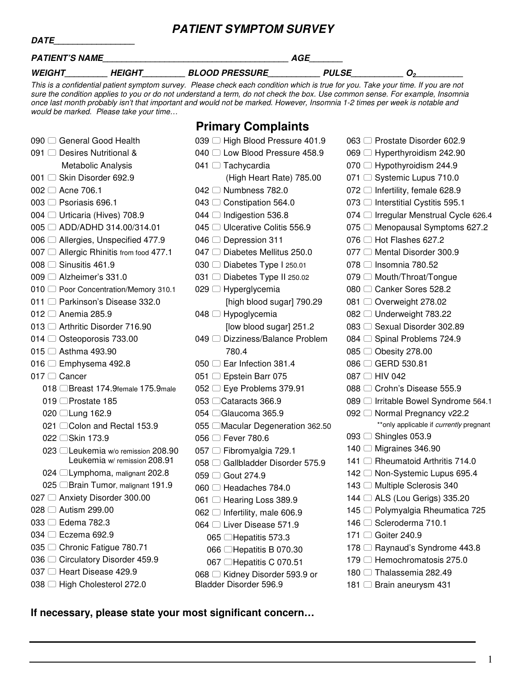#### **PATIENT SYMPTOM SURVEY**

| PATIENT'S NAME | AGE                  |                                                                                                                                  |                     |  |  |
|----------------|----------------------|----------------------------------------------------------------------------------------------------------------------------------|---------------------|--|--|
| <b>WEIGHT</b>  | <i><b>HEIGHT</b></i> | <b>BLOOD PRESSURE</b>                                                                                                            | <i><b>PULSE</b></i> |  |  |
|                |                      | This is a confidential patient symptom survey. Please check each condition which is true for you. Take your time. If you are not |                     |  |  |

sure the condition applies to you or do not understand a term, do not check the box. Use common sense. For example, Insomnia once last month probably isn't that important and would not be marked. However, Insomnia 1-2 times per week is notable and would be marked. Please take your time…

#### **Primary Complaints**

039 □ High Blood Pressure 401.9  $0.40 \pm 1.5$  Low Blood Pressure  $450.9$ 

| 090 □ General Good Health                                           |  |  |  |  |  |
|---------------------------------------------------------------------|--|--|--|--|--|
| 091 □ Desires Nutritional &                                         |  |  |  |  |  |
| Metabolic Analysis                                                  |  |  |  |  |  |
| 001 □ Skin Disorder 692.9                                           |  |  |  |  |  |
| 002 □ Acne 706.1                                                    |  |  |  |  |  |
| 003 □ Psoriasis 696.1                                               |  |  |  |  |  |
| 004 □ Urticaria (Hives) 708.9                                       |  |  |  |  |  |
| 005 □ ADD/ADHD 314.00/314.01                                        |  |  |  |  |  |
| 006 □ Allergies, Unspecified 477.9                                  |  |  |  |  |  |
| 007 ◯ Allergic Rhinitis from food 477.1                             |  |  |  |  |  |
| 008 $\Box$ Sinusitis 461.9                                          |  |  |  |  |  |
| $009$ $\Box$ Alzheimer's 331.0                                      |  |  |  |  |  |
| 010 □ Poor Concentration/Memory 310.1                               |  |  |  |  |  |
| 011 □ Parkinson's Disease 332.0                                     |  |  |  |  |  |
| 012 <sup>□</sup> Anemia 285.9                                       |  |  |  |  |  |
| 013 □ Arthritic Disorder 716.90                                     |  |  |  |  |  |
| 014 ◯ Osteoporosis 733.00                                           |  |  |  |  |  |
| $015$ $\Box$ Asthma 493.90                                          |  |  |  |  |  |
| 016 $\Box$ Emphysema 492.8                                          |  |  |  |  |  |
| $017$ $\Box$ Cancer                                                 |  |  |  |  |  |
| 018 □Breast 174.9female 175.9male                                   |  |  |  |  |  |
| 019 □Prostate 185                                                   |  |  |  |  |  |
| 020 □Lung 162.9                                                     |  |  |  |  |  |
| 021 ◯ Colon and Rectal 153.9                                        |  |  |  |  |  |
| 022 □Skin 173.9                                                     |  |  |  |  |  |
| 023 □ Leukemia w/o remission 208.90<br>Leukemia w/ remission 208.91 |  |  |  |  |  |
| 024 □ Lymphoma, malignant 202.8                                     |  |  |  |  |  |
| 025 □ Brain Tumor, malignant 191.9                                  |  |  |  |  |  |
| 027 □ Anxiety Disorder 300.00                                       |  |  |  |  |  |
| 028 2 Autism 299.00                                                 |  |  |  |  |  |
| 033 □ Edema 782.3                                                   |  |  |  |  |  |
| 034 □ Eczema 692.9                                                  |  |  |  |  |  |
| 035 □ Chronic Fatigue 780.71                                        |  |  |  |  |  |
| 036 Circulatory Disorder 459.9                                      |  |  |  |  |  |
| 037 □ Heart Disease 429.9                                           |  |  |  |  |  |
| 038 □ High Cholesterol 272.0                                        |  |  |  |  |  |

| ∪4∪ ∟ Low Blood Pressure 458.9             |
|--------------------------------------------|
| 041 □ Tachycardia                          |
| (High Heart Rate) 785.00                   |
| 042 □ Numbness 782.0                       |
| 043 ◯ Constipation 564.0                   |
| 044 □ Indigestion 536.8                    |
| 045 C Ulcerative Colitis 556.9             |
| 046 □ Depression 311                       |
| 047 □ Diabetes Mellitus 250.0              |
| 030 $\Box$ Diabetes Type I 250.01          |
| 031 □ Diabetes Type II 250.02              |
| 029 <sup>□</sup> Hyperglycemia             |
| [high blood sugar] 790.29                  |
| 048 □ Hypoglycemia                         |
| [low blood sugar] 251.2                    |
| 049 <sup>□</sup> Dizziness/Balance Problem |
| 780.4                                      |
| 050 □ Ear Infection 381.4                  |
| 051 □ Epstein Barr 075                     |
| 052 □ Eye Problems 379.91                  |
| 053 CCataracts 366.9                       |
| 054 □ Glaucoma 365.9                       |
| 055 ©Macular Degeneration 362.50           |
| 056 □ Fever 780.6                          |
| 057 □ Fibromyalgia 729.1                   |
| 058 C Gallbladder Disorder 575.9           |
| 059 □ Gout 274.9                           |
| 060 □ Headaches 784.0                      |
| 061 □ Hearing Loss 389.9                   |
| 062 □ Infertility, male 606.9              |
| 064 □ Liver Disease 571.9                  |
| 065 □Hepatitis 573.3                       |
| 066 □Hepatitis B 070.30                    |
| 067 □Hepatitis C 070.51                    |
| 068 □ Kidney Disorder 593.9 or             |
| Bladder Disorder 596.9                     |

063 <sup>□</sup> Prostate Disorder 602.9 069 □ Hyperthyroidism 242.90 070 **□ Hypothyroidism 244.9** 071 <sup>○</sup> Systemic Lupus 710.0  $072$   $\Box$  Infertility, female 628.9 073 **□** Interstitial Cystitis 595.1 074 <sup>□</sup> Irregular Menstrual Cycle 626.4 075 **□ Menopausal Symptoms 627.2**  $076$   $\Box$  Hot Flashes 627.2 077 <sup>Mental</sup> Disorder 300.9 078 <sup>O</sup> Insomnia 780.52 079  $\Box$  Mouth/Throat/Tongue 080 <sup>C</sup> Canker Sores 528.2 081 **○ Overweight 278.02** 082 **□ Underweight 783.22** 083 □ Sexual Disorder 302.89 084 **◯** Spinal Problems 724.9 085 ◯ Obesity 278.00 086 <del>□ GERD</del> 530.81 087 □ HIV 042 088 <sup>□</sup> Crohn's Disease 555.9 089 <sup>□</sup> Irritable Bowel Syndrome 564.1 092 <sup>○</sup> Normal Pregnancy v22.2 \*\*only applicable if *currently* pregnant 093 **◯ Shingles 053.9** 140 <sup>Migraines</sup> 346.90 141 <sup>O</sup> Rheumatoid Arthritis 714.0 142 □ Non-Systemic Lupus 695.4 143 <sup>O</sup> Multiple Sclerosis 340 144 □ ALS (Lou Gerigs) 335.20 145 Polymyalgia Rheumatica 725 146 <sup>O</sup> Scleroderma 710.1 171 □ Goiter 240.9 178 **□ Raynaud's Syndrome 443.8** 179 <sup>n</sup>Hemochromatosis 275.0 180 <sup>Thalassemia 282.49</sup> 181 <sup>Brain</sup> aneurysm 431

1

#### **If necessary, please state your most significant concern…**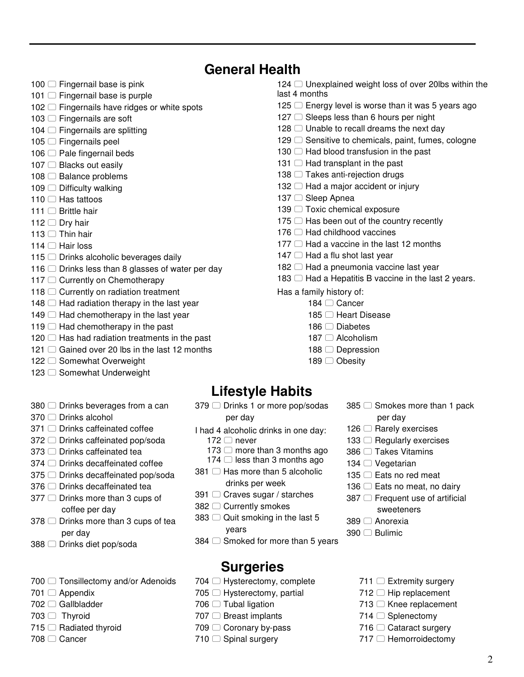# **General Health**

- $100$   $\Box$  Fingernail base is pink
- $101$   $\Box$  Fingernail base is purple
- 102  $\Box$  Fingernails have ridges or white spots
- 103 <sup>C</sup> Fingernails are soft
- $104$   $\Box$  Fingernails are splitting
- $105$   $\Box$  Fingernails peel
- $106$   $\Box$  Pale fingernail beds
- 107 Blacks out easily
- $108$   $\Box$  Balance problems
- $109$   $\Box$  Difficulty walking
- $110$   $\Box$  Has tattoos
- 111 □ Brittle hair
- 112  $\Box$  Dry hair
- $113$   $\Box$  Thin hair
- $114$   $\Box$  Hair loss
- $115$   $\Box$  Drinks alcoholic beverages daily
- 116  $\Box$  Drinks less than 8 glasses of water per day
- 117 ◯ Currently on Chemotherapy
- $118$   $\Box$  Currently on radiation treatment
- $148$   $\Box$  Had radiation therapy in the last year
- $149$   $\Box$  Had chemotherapy in the last year
- $119$   $\Box$  Had chemotherapy in the past
- $120$   $\Box$  Has had radiation treatments in the past
- $121$   $\Box$  Gained over 20 lbs in the last 12 months
- 122  $\Box$  Somewhat Overweight
- 123  $\Box$  Somewhat Underweight
- $380$   $\Box$  Drinks beverages from a can
- 370 □ Drinks alcohol
- $371$   $\Box$  Drinks caffeinated coffee
- 372  $\Box$  Drinks caffeinated pop/soda
- 373  $\Box$  Drinks caffeinated tea
- 374  $\Box$  Drinks decaffeinated coffee
- 375 **□ Drinks decaffeinated pop/soda**
- 376  $\Box$  Drinks decaffeinated tea
- $377$   $\Box$  Drinks more than 3 cups of coffee per day
- 378  $\Box$  Drinks more than 3 cups of tea per day
- 388 <sup>□</sup> Drinks diet pop/soda
- $700$   $\Box$  Tonsillectomy and/or Adenoids
- 701 **Appendix**
- 702 **Gallbladder**
- $703$   $\Box$  Thyroid
- $715$   $\Box$  Radiated thyroid
- 708 <del>□</del> Cancer
- 124  $\Box$  Unexplained weight loss of over 20lbs within the last 4 months
- $125$   $\Box$  Energy level is worse than it was 5 years ago
- $127$   $\Box$  Sleeps less than 6 hours per night
- $128$   $\Box$  Unable to recall dreams the next day
- $129$   $\Box$  Sensitive to chemicals, paint, fumes, cologne
- $130$   $\Box$  Had blood transfusion in the past
- 131  $\Box$  Had transplant in the past
- $138$   $\Box$  Takes anti-rejection drugs
- $132$   $\Box$  Had a major accident or injury
- 137 <sup>Sleep</sup> Apnea
- 139 <sup>O</sup> Toxic chemical exposure
- $175$   $\Box$  Has been out of the country recently
- $176$   $\Box$  Had childhood vaccines
- $177$   $\Box$  Had a vaccine in the last 12 months
- $147$   $\Box$  Had a flu shot last year
- $182$   $\Box$  Had a pneumonia vaccine last year
- 183  $\Box$  Had a Hepatitis B vaccine in the last 2 years.
- Has a family history of:
	- 184 □ Cancer
		- 185 <sup>Heart</sup> Disease
		- 186 □ Diabetes
		- 187  $\Box$  Alcoholism
		- 188  $\Box$  Depression
		- 189 □ Obesity

# **Lifestyle Habits**

- 379 □ Drinks 1 or more pop/sodas per day
- I had 4 alcoholic drinks in one day:  $172 \Box$  never
	- $173$   $\Box$  more than 3 months ago
	- $174$   $\Box$  less than 3 months ago
- 381  $\Box$  Has more than 5 alcoholic drinks per week
- 391 ◯ Craves sugar / starches
- 382 ◯ Currently smokes
- $383$   $\Box$  Quit smoking in the last 5 years
- $384$   $\Box$  Smoked for more than 5 years

#### **Surgeries**

- $704$   $\Box$  Hysterectomy, complete
- $705$   $\Box$  Hysterectomy, partial
- $706$   $\Box$  Tubal ligation
- 707 **Breast implants**
- 709 Coronary by-pass
- $710$  Spinal surgery
- $385$   $\Box$  Smokes more than 1 pack
	- per day
- $126$   $\Box$  Rarely exercises
- $133$   $\Box$  Regularly exercises
- 386 □ Takes Vitamins
- 134  $\Box$  Vegetarian
- 135  $\Box$  Eats no red meat
- 136  $\Box$  Eats no meat, no dairy
- $387$   $\Box$  Frequent use of artificial
	- sweeteners
- 389 <sup>∩</sup> Anorexia
- 390 □ Bulimic
	- $711$   $\Box$  Extremity surgery
	- $712$   $\Box$  Hip replacement

 $714$   $\Box$  Splenectomy  $716$   $\Box$  Cataract surgery 717 **Hemorroidectomy** 

 $713$   $\Box$  Knee replacement

2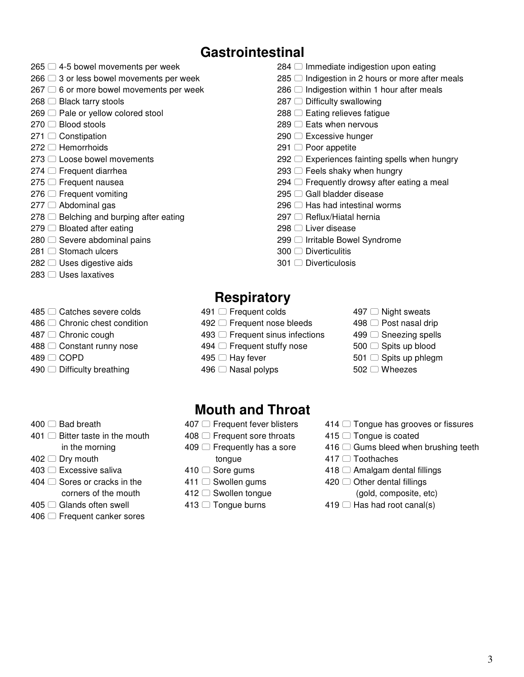# **Gastrointestinal**

- $265$   $\Box$  4-5 bowel movements per week
- $266 \square 3$  or less bowel movements per week
- $267 \bigcirc$  6 or more bowel movements per week
- $268$   $\Box$  Black tarry stools
- $269$   $\Box$  Pale or yellow colored stool
- $270$   $\Box$  Blood stools
- 271 ◯ Constipation
- $272 \Box$  Hemorrhoids
- 273 □ Loose bowel movements
- $274$   $\Box$  Frequent diarrhea
- 275 <del>□</del> Frequent nausea
- $276$   $\Box$  Frequent vomiting
- $277$   $\Box$  Abdominal gas
- $278$   $\Box$  Belching and burping after eating
- $279$   $\Box$  Bloated after eating
- $280$   $\Box$  Severe abdominal pains
- 281 □ Stomach ulcers
- $282 \Box$  Uses digestive aids
- 283 □ Uses laxatives
- 485 C Catches severe colds
- 486 ◯ Chronic chest condition
- 487 <sup>⊂</sup> Chronic cough
- 488 C Constant runny nose
- 489 □ COPD
- $490$   $\Box$  Difficulty breathing
- $400 \cap$  Bad breath
- $401$   $\Box$  Bitter taste in the mouth in the morning
- $402$   $\Box$  Drv mouth
- 403 □ Excessive saliva
- $404 \cap$  Sores or cracks in the
- corners of the mouth
- 405 ◯ Glands often swell
- 406 **□ Frequent canker sores**
- $284$   $\Box$  Immediate indigestion upon eating
- $285$   $\Box$  Indigestion in 2 hours or more after meals
- $286$   $\Box$  Indigestion within 1 hour after meals
- $287$   $\Box$  Difficulty swallowing
- $288$   $\Box$  Eating relieves fatigue
- $289$   $\Box$  Eats when nervous
- 290 **□ Excessive hunger**
- $291$   $\Box$  Poor appetite
- $292$   $\Box$  Experiences fainting spells when hungry
- $293$   $\Box$  Feels shaky when hungry
- $294$   $\Box$  Frequently drowsy after eating a meal
- 295  $\Box$  Gall bladder disease
- 296  $\Box$  Has had intestinal worms
- 297 **□ Reflux/Hiatal hernia**
- 298 □ Liver disease
- 299 <sup>□</sup> Irritable Bowel Syndrome
- 300 □ Diverticulitis
- 301 □ Diverticulosis

# **Respiratory**

- 491 <del>□</del> Frequent colds
- 492 **□ Frequent nose bleeds**
- $493$   $\Box$  Frequent sinus infections
- 494  $\Box$  Frequent stuffy nose
- 495 <sup>O</sup> Hay fever
- $496$   $\Box$  Nasal polyps

#### **Mouth and Throat**

- 407  $\Box$  Frequent fever blisters
- 408  $\Box$  Frequent sore throats
- $409$   $\Box$  Frequently has a sore
- tongue
- $410$  Sore gums
- 411 Swollen gums
- 412 □ Swollen tongue
- 413 <sup>O</sup> Tongue burns
- $497$   $\Box$  Night sweats
- $498$   $\Box$  Post nasal drip
- 499 <sup>○</sup> Sneezing spells
- 500 Spits up blood
- 501 □ Spits up phlegm
- 502 Wheezes
- $414$   $\Box$  Tongue has grooves or fissures
- $415$   $\Box$  Tongue is coated
- $416$   $\Box$  Gums bleed when brushing teeth
- 417 <sup>∩</sup> Toothaches
- $418$   $\Box$  Amalgam dental fillings
- 420  $\Box$  Other dental fillings
	- (gold, composite, etc)
- $419$   $\Box$  Has had root canal(s)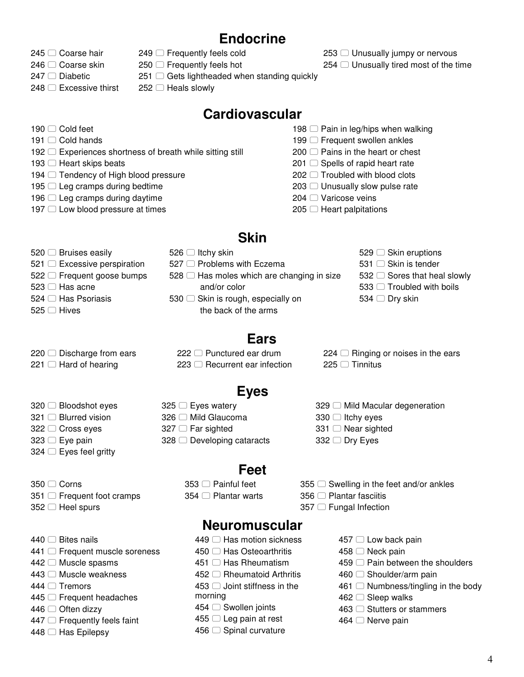# **Endocrine**

- 245 <sup>○</sup> Coarse hair
- 246 <sup>○</sup> Coarse skin
- $247$   $\Box$  Diabetic

 $190 \cap$  Cold feet  $191$   $\Box$  Cold hands

248 **□ Excessive thirst** 

193  $\Box$  Heart skips beats

 $249$   $\Box$  Frequently feels cold  $250$   $\Box$  Frequently feels hot

 $251$   $\Box$  Gets lightheaded when standing quickly

 $252 \Box$  Heals slowly

#### **Cardiovascular**

- 198  $\Box$  Pain in leg/hips when walking
- $199$   $\Box$  Frequent swollen ankles
- $200$   $\Box$  Pains in the heart or chest
- $201$   $\Box$  Spells of rapid heart rate
- $202$   $\Box$  Troubled with blood clots
- $203$   $\Box$  Unusually slow pulse rate
- 204 <sup>O</sup> Varicose veins
- $205$   $\Box$  Heart palpitations

#### **Skin**

 $520$   $\Box$  Bruises easily  $526$   $\Box$  Itchy skin

192  $\Box$  Experiences shortness of breath while sitting still

 $521$   $\Box$  Excessive perspiration 527  $\Box$  Problems with Eczema

 $\Box$  Tendency of High blood pressure  $\Box$  Leg cramps during bedtime  $\Box$  Leg cramps during daytime  $\Box$  Low blood pressure at times

- 522 □ Frequent goose bumps
- $523$   $\Box$  Has acne
- $524 \cap$  Has Psoriasis
- $525$   $\Box$  Hives
- $528$   $\Box$  Has moles which are changing in size and/or color 530  $\Box$  Skin is rough, especially on the back of the arms
- 529 Skin eruptions
- 531 □ Skin is tender
- 532  $\Box$  Sores that heal slowly
- $533$   $\Box$  Troubled with boils
- 534  $\Box$  Dry skin

 $220$   $\Box$  Discharge from ears  $221$   $\Box$  Hard of hearing

320 □ Bloodshot eyes 321 □ Blurred vision 322 □ Cross eyes  $323$   $\Box$  Eye pain  $324$   $\Box$  Eyes feel gritty

- 222 Punctured ear drum  $223$   $\Box$  Recurrent ear infection
- $224$   $\Box$  Ringing or noises in the ears  $225$   $\Box$  Tinnitus

# **Eyes**

**Ears** 

- $325$   $\Box$  Eyes watery 326 <sup>□</sup> Mild Glaucoma
	- $327$   $\Box$  Far sighted
	- $328$   $\Box$  Developing cataracts

# **Feet**

- 353 □ Painful feet 354 **□ Plantar warts**
- $355$   $\Box$  Swelling in the feet and/or ankles

 $329$   $\Box$  Mild Macular degeneration

- 356 □ Plantar fasciitis
- $357$   $\Box$  Fungal Infection

 $330$   $\Box$  Itchy eyes  $331$   $\Box$  Near sighted  $332$   $\Box$  Dry Eyes

 $440 \cap$  Bites nails

352 □ Heel spurs

350 □ Corns

- 441 **□ Frequent muscle soreness**
- $442$   $\Box$  Muscle spasms
- 443 <sup>O</sup> Muscle weakness
- $444 \Box$  Tremors
- $445$   $\Box$  Frequent headaches

 $351$   $\Box$  Frequent foot cramps

- $446$   $\Box$  Often dizzy
- $447$   $\Box$  Frequently feels faint
- $448$   $\Box$  Has Epilepsy
- **Neuromuscular**
- $449$   $\Box$  Has motion sickness
- 450 □ Has Osteoarthritis
- $451$   $\Box$  Has Rheumatism
- 452 C Rheumatoid Arthritis  $453$   $\Box$  Joint stiffness in the
- morning
- 454 <sup>○</sup> Swollen joints
- $455 \Box$  Leg pain at rest
- 456 <sup>○</sup> Spinal curvature
- $457 \Box$  Low back pain
- 458 □ Neck pain
- $459$   $\Box$  Pain between the shoulders
- $460$   $\Box$  Shoulder/arm pain
- $461$   $\Box$  Numbness/tingling in the body
- $462$   $\Box$  Sleep walks
- 463 C Stutters or stammers
- 464 <sup>O</sup> Nerve pain

 $254$   $\Box$  Unusually tired most of the time

 $253$   $\Box$  Unusually jumpy or nervous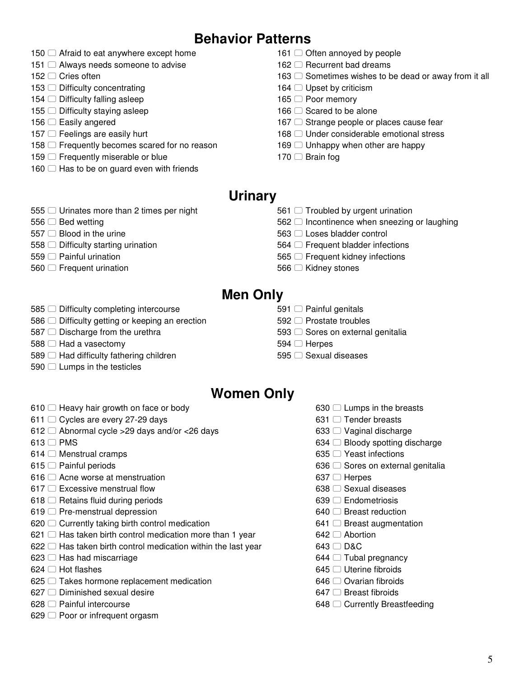# **Behavior Patterns**

- $\Box$  Afraid to eat anywhere except home
- $\Box$  Always needs someone to advise
- 152 □ Cries often
- $\Box$  Difficulty concentrating
- $\Box$  Difficulty falling asleep
- $\Box$  Difficulty staying asleep
- 156 □ Easily angered
- $157 \Box$  Feelings are easily hurt
- 158  $\Box$  Frequently becomes scared for no reason
- $\Box$  Frequently miserable or blue
- $\Box$  Has to be on guard even with friends
- $\Box$  Often annoyed by people
- 162  $\Box$  Recurrent bad dreams
- $\Box$  Sometimes wishes to be dead or away from it all
- $\Box$  Upset by criticism
- 165  $□$  Poor memory
- $\Box$  Scared to be alone
- $\Box$  Strange people or places cause fear
- 168  $\Box$  Under considerable emotional stress
- $\Box$  Unhappy when other are happy
- $\Box$  Brain fog

#### **Urinary**

- 555  $\Box$  Urinates more than 2 times per night
- $\Box$  Bed wetting
- $\Box$  Blood in the urine
- 558  $\Box$  Difficulty starting urination
- 559 <sup>O</sup> Painful urination
- 560 C Frequent urination
- $\Box$  Troubled by urgent urination
- $\Box$  Incontinence when sneezing or laughing
- 563 C Loses bladder control
- 564  $\Box$  Frequent bladder infections
- 565  $\Box$  Frequent kidney infections
- 566 <sup>○</sup> Kidney stones

#### **Men Only**

- 585  $\Box$  Difficulty completing intercourse
- $\Box$  Difficulty getting or keeping an erection
- $\Box$  Discharge from the urethra
- $\Box$  Had a vasectomy
- $\Box$  Had difficulty fathering children
- 590  $\Box$  Lumps in the testicles
- $\Box$  Painful genitals
- 592 <sup>O</sup> Prostate troubles
- $\Box$  Sores on external genitalia
- 594 □ Herpes
- 595  $\Box$  Sexual diseases

#### **Women Only**

- 610  $\Box$  Heavy hair growth on face or body
- 611  $\Box$  Cycles are every 27-29 days
- 612  $\Box$  Abnormal cycle > 29 days and/or < 26 days
- $\Box$  PMS
- $\Box$  Menstrual cramps
- $\Box$  Painful periods
- $\Box$  Acne worse at menstruation
- 617  $\Box$  Excessive menstrual flow
- $\Box$  Retains fluid during periods
- $\Box$  Pre-menstrual depression
- $\Box$  Currently taking birth control medication
- $\Box$  Has taken birth control medication more than 1 year
- $\Box$  Has taken birth control medication within the last year
- $\Box$  Has had miscarriage
- $\Box$  Hot flashes
- $\Box$  Takes hormone replacement medication
- $\Box$  Diminished sexual desire
- 628 <sup>□</sup> Painful intercourse
- $\Box$  Poor or infrequent orgasm
- $\Box$  Lumps in the breasts
- $\Box$  Tender breasts
- $\Box$  Vaginal discharge
- $\Box$  Bloody spotting discharge
- 635 □ Yeast infections
- $\Box$  Sores on external genitalia
- 637 □ Herpes
- $\Box$  Sexual diseases
- **□ Endometriosis**
- **Breast reduction**
- $\Box$  Breast augmentation
- 642 □ Abortion
- $\Box$  D&C
- $\Box$  Tubal pregnancy
- 645 □ Uterine fibroids
- 646 <del>○</del> Ovarian fibroids
- $\Box$  Breast fibroids
- $\Box$  Currently Breastfeeding